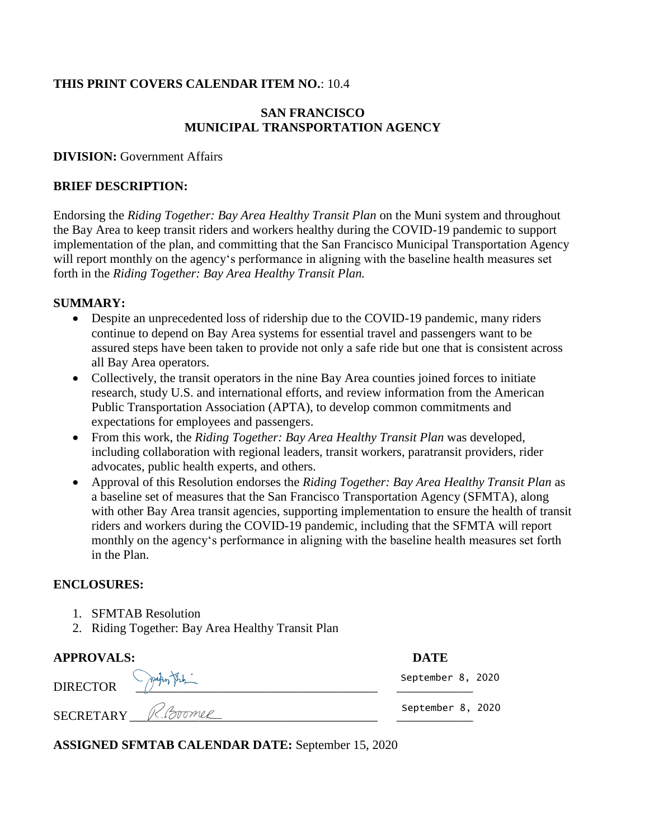## **THIS PRINT COVERS CALENDAR ITEM NO.**: 10.4

## **SAN FRANCISCO MUNICIPAL TRANSPORTATION AGENCY**

#### **DIVISION:** Government Affairs

### **BRIEF DESCRIPTION:**

Endorsing the *Riding Together: Bay Area Healthy Transit Plan* on the Muni system and throughout the Bay Area to keep transit riders and workers healthy during the COVID-19 pandemic to support implementation of the plan, and committing that the San Francisco Municipal Transportation Agency will report monthly on the agency's performance in aligning with the baseline health measures set forth in the *Riding Together: Bay Area Healthy Transit Plan.*

### **SUMMARY:**

- Despite an unprecedented loss of ridership due to the COVID-19 pandemic, many riders continue to depend on Bay Area systems for essential travel and passengers want to be assured steps have been taken to provide not only a safe ride but one that is consistent across all Bay Area operators.
- Collectively, the transit operators in the nine Bay Area counties joined forces to initiate research, study U.S. and international efforts, and review information from the American Public Transportation Association (APTA), to develop common commitments and expectations for employees and passengers.
- From this work, the *Riding Together: Bay Area Healthy Transit Plan* was developed, including collaboration with regional leaders, transit workers, paratransit providers, rider advocates, public health experts, and others.
- Approval of this Resolution endorses the *Riding Together: Bay Area Healthy Transit Plan* as a baseline set of measures that the San Francisco Transportation Agency (SFMTA), along with other Bay Area transit agencies, supporting implementation to ensure the health of transit riders and workers during the COVID-19 pandemic, including that the SFMTA will report monthly on the agency's performance in aligning with the baseline health measures set forth in the Plan.

### **ENCLOSURES:**

- 1. SFMTAB Resolution
- 2. Riding Together: Bay Area Healthy Transit Plan

| <b>APPROVALS:</b>            | <b>DATE</b>       |
|------------------------------|-------------------|
| DIRECTOR PARTEL              | September 8, 2020 |
| SECRETARY <i>K. Coverner</i> | September 8, 2020 |

**ASSIGNED SFMTAB CALENDAR DATE:** September 15, 2020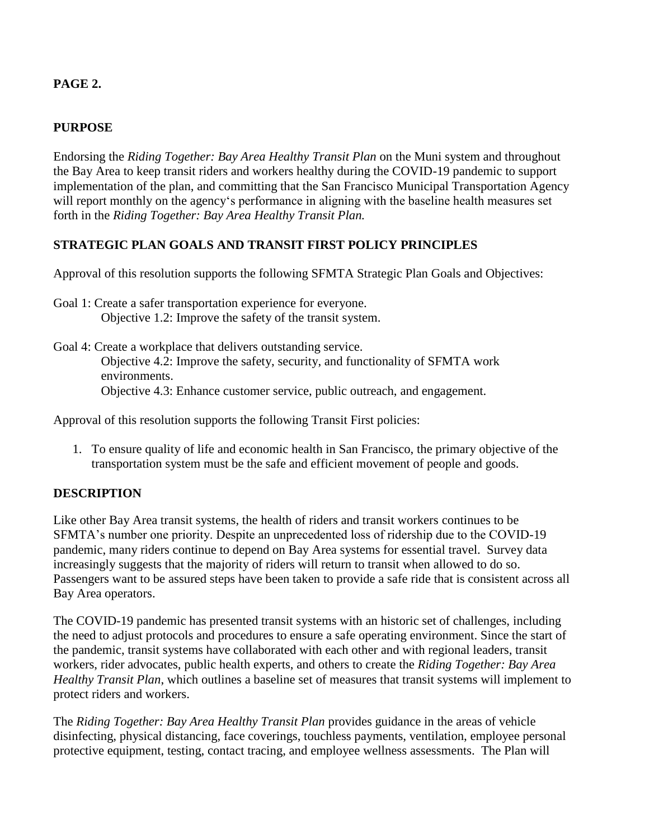# **PAGE 2.**

# **PURPOSE**

Endorsing the *Riding Together: Bay Area Healthy Transit Plan* on the Muni system and throughout the Bay Area to keep transit riders and workers healthy during the COVID-19 pandemic to support implementation of the plan, and committing that the San Francisco Municipal Transportation Agency will report monthly on the agency's performance in aligning with the baseline health measures set forth in the *Riding Together: Bay Area Healthy Transit Plan.*

# **STRATEGIC PLAN GOALS AND TRANSIT FIRST POLICY PRINCIPLES**

Approval of this resolution supports the following SFMTA Strategic Plan Goals and Objectives:

- Goal 1: Create a safer transportation experience for everyone. Objective 1.2: Improve the safety of the transit system.
- Goal 4: Create a workplace that delivers outstanding service. Objective 4.2: Improve the safety, security, and functionality of SFMTA work environments. Objective 4.3: Enhance customer service, public outreach, and engagement.

Approval of this resolution supports the following Transit First policies:

1. To ensure quality of life and economic health in San Francisco, the primary objective of the transportation system must be the safe and efficient movement of people and goods.

# **DESCRIPTION**

Like other Bay Area transit systems, the health of riders and transit workers continues to be SFMTA's number one priority. Despite an unprecedented loss of ridership due to the COVID-19 pandemic, many riders continue to depend on Bay Area systems for essential travel. Survey data increasingly suggests that the majority of riders will return to transit when allowed to do so. Passengers want to be assured steps have been taken to provide a safe ride that is consistent across all Bay Area operators.

The COVID-19 pandemic has presented transit systems with an historic set of challenges, including the need to adjust protocols and procedures to ensure a safe operating environment. Since the start of the pandemic, transit systems have collaborated with each other and with regional leaders, transit workers, rider advocates, public health experts, and others to create the *Riding Together: Bay Area Healthy Transit Plan*, which outlines a baseline set of measures that transit systems will implement to protect riders and workers.

The *Riding Together: Bay Area Healthy Transit Plan* provides guidance in the areas of vehicle disinfecting, physical distancing, face coverings, touchless payments, ventilation, employee personal protective equipment, testing, contact tracing, and employee wellness assessments. The Plan will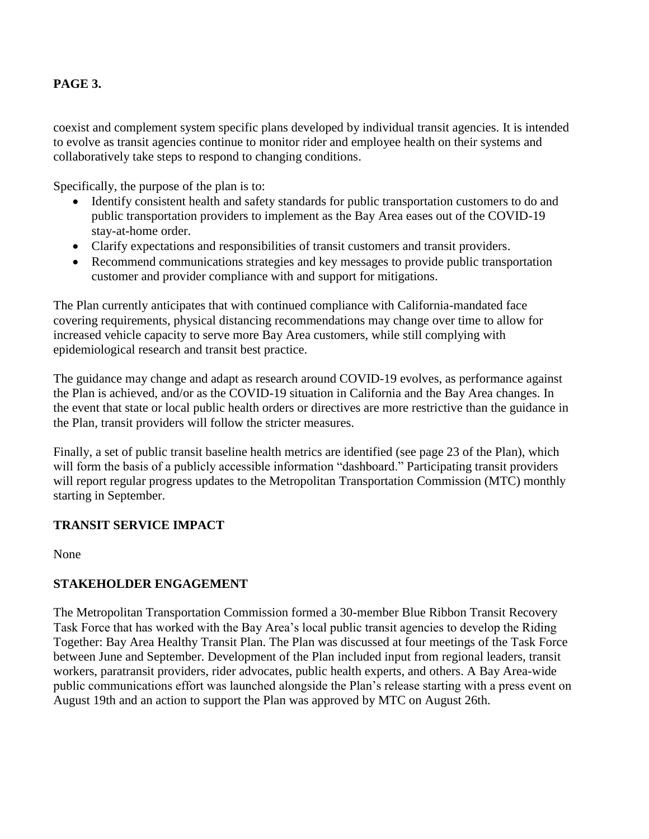# **PAGE 3.**

coexist and complement system specific plans developed by individual transit agencies. It is intended to evolve as transit agencies continue to monitor rider and employee health on their systems and collaboratively take steps to respond to changing conditions.

Specifically, the purpose of the plan is to:

- Identify consistent health and safety standards for public transportation customers to do and public transportation providers to implement as the Bay Area eases out of the COVID-19 stay-at-home order.
- Clarify expectations and responsibilities of transit customers and transit providers.
- Recommend communications strategies and key messages to provide public transportation customer and provider compliance with and support for mitigations.

The Plan currently anticipates that with continued compliance with California-mandated face covering requirements, physical distancing recommendations may change over time to allow for increased vehicle capacity to serve more Bay Area customers, while still complying with epidemiological research and transit best practice.

The guidance may change and adapt as research around COVID-19 evolves, as performance against the Plan is achieved, and/or as the COVID-19 situation in California and the Bay Area changes. In the event that state or local public health orders or directives are more restrictive than the guidance in the Plan, transit providers will follow the stricter measures.

Finally, a set of public transit baseline health metrics are identified (see page 23 of the Plan), which will form the basis of a publicly accessible information "dashboard." Participating transit providers will report regular progress updates to the Metropolitan Transportation Commission (MTC) monthly starting in September.

# **TRANSIT SERVICE IMPACT**

None

# **STAKEHOLDER ENGAGEMENT**

The Metropolitan Transportation Commission formed a 30-member Blue Ribbon Transit Recovery Task Force that has worked with the Bay Area's local public transit agencies to develop the Riding Together: Bay Area Healthy Transit Plan. The Plan was discussed at four meetings of the Task Force between June and September. Development of the Plan included input from regional leaders, transit workers, paratransit providers, rider advocates, public health experts, and others. A Bay Area-wide public communications effort was launched alongside the Plan's release starting with a press event on August 19th and an action to support the Plan was approved by MTC on August 26th.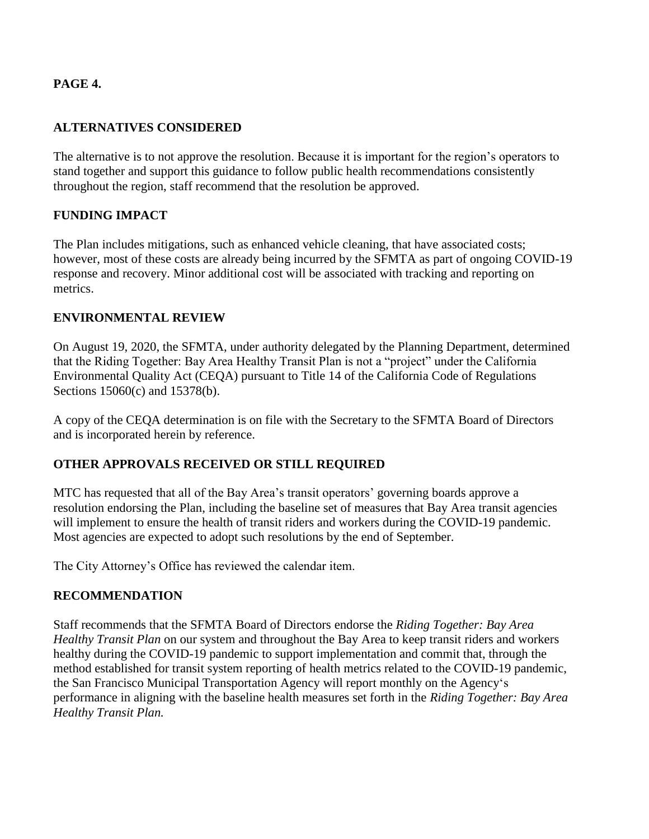## **PAGE 4.**

## **ALTERNATIVES CONSIDERED**

The alternative is to not approve the resolution. Because it is important for the region's operators to stand together and support this guidance to follow public health recommendations consistently throughout the region, staff recommend that the resolution be approved.

# **FUNDING IMPACT**

The Plan includes mitigations, such as enhanced vehicle cleaning, that have associated costs; however, most of these costs are already being incurred by the SFMTA as part of ongoing COVID-19 response and recovery. Minor additional cost will be associated with tracking and reporting on metrics.

## **ENVIRONMENTAL REVIEW**

On August 19, 2020, the SFMTA, under authority delegated by the Planning Department, determined that the Riding Together: Bay Area Healthy Transit Plan is not a "project" under the California Environmental Quality Act (CEQA) pursuant to Title 14 of the California Code of Regulations Sections 15060(c) and 15378(b).

A copy of the CEQA determination is on file with the Secretary to the SFMTA Board of Directors and is incorporated herein by reference.

### **OTHER APPROVALS RECEIVED OR STILL REQUIRED**

MTC has requested that all of the Bay Area's transit operators' governing boards approve a resolution endorsing the Plan, including the baseline set of measures that Bay Area transit agencies will implement to ensure the health of transit riders and workers during the COVID-19 pandemic. Most agencies are expected to adopt such resolutions by the end of September.

The City Attorney's Office has reviewed the calendar item.

### **RECOMMENDATION**

Staff recommends that the SFMTA Board of Directors endorse the *Riding Together: Bay Area Healthy Transit Plan* on our system and throughout the Bay Area to keep transit riders and workers healthy during the COVID-19 pandemic to support implementation and commit that, through the method established for transit system reporting of health metrics related to the COVID-19 pandemic, the San Francisco Municipal Transportation Agency will report monthly on the Agency's performance in aligning with the baseline health measures set forth in the *Riding Together: Bay Area Healthy Transit Plan.*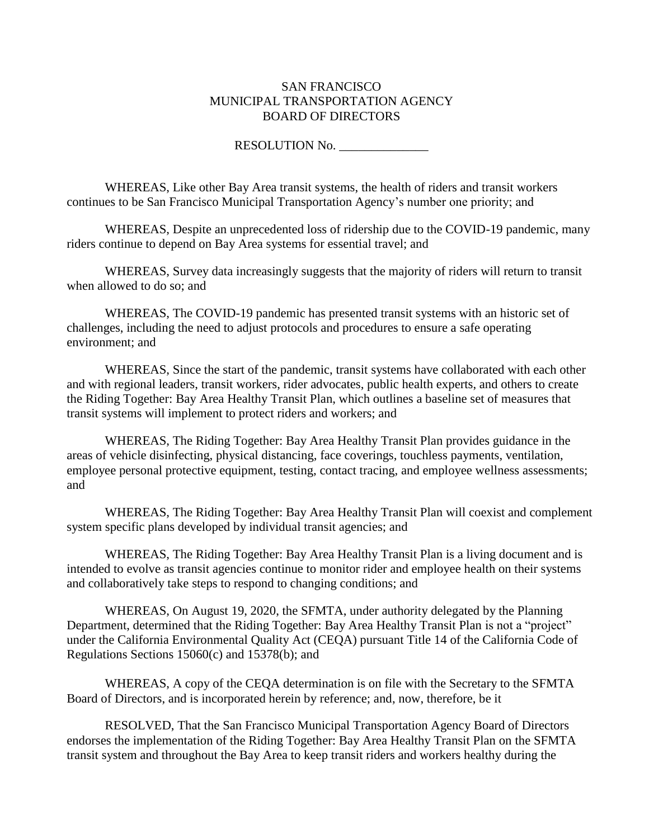#### SAN FRANCISCO MUNICIPAL TRANSPORTATION AGENCY BOARD OF DIRECTORS

RESOLUTION No. \_\_\_\_\_\_\_\_\_\_\_\_\_\_

WHEREAS, Like other Bay Area transit systems, the health of riders and transit workers continues to be San Francisco Municipal Transportation Agency's number one priority; and

WHEREAS, Despite an unprecedented loss of ridership due to the COVID-19 pandemic, many riders continue to depend on Bay Area systems for essential travel; and

WHEREAS, Survey data increasingly suggests that the majority of riders will return to transit when allowed to do so; and

WHEREAS, The COVID-19 pandemic has presented transit systems with an historic set of challenges, including the need to adjust protocols and procedures to ensure a safe operating environment; and

WHEREAS, Since the start of the pandemic, transit systems have collaborated with each other and with regional leaders, transit workers, rider advocates, public health experts, and others to create the Riding Together: Bay Area Healthy Transit Plan, which outlines a baseline set of measures that transit systems will implement to protect riders and workers; and

WHEREAS, The Riding Together: Bay Area Healthy Transit Plan provides guidance in the areas of vehicle disinfecting, physical distancing, face coverings, touchless payments, ventilation, employee personal protective equipment, testing, contact tracing, and employee wellness assessments; and

WHEREAS, The Riding Together: Bay Area Healthy Transit Plan will coexist and complement system specific plans developed by individual transit agencies; and

WHEREAS, The Riding Together: Bay Area Healthy Transit Plan is a living document and is intended to evolve as transit agencies continue to monitor rider and employee health on their systems and collaboratively take steps to respond to changing conditions; and

WHEREAS, On August 19, 2020, the SFMTA, under authority delegated by the Planning Department, determined that the Riding Together: Bay Area Healthy Transit Plan is not a "project" under the California Environmental Quality Act (CEQA) pursuant Title 14 of the California Code of Regulations Sections 15060(c) and 15378(b); and

WHEREAS, A copy of the CEQA determination is on file with the Secretary to the SFMTA Board of Directors, and is incorporated herein by reference; and, now, therefore, be it

RESOLVED, That the San Francisco Municipal Transportation Agency Board of Directors endorses the implementation of the Riding Together: Bay Area Healthy Transit Plan on the SFMTA transit system and throughout the Bay Area to keep transit riders and workers healthy during the